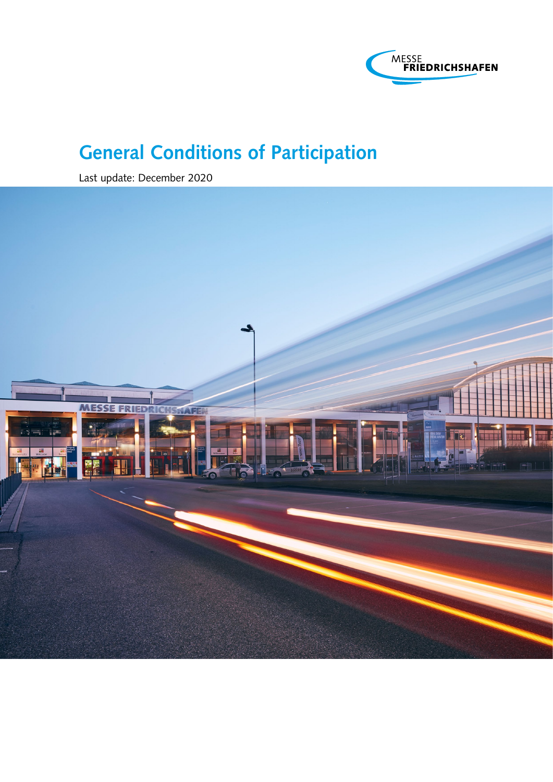

Last update: December 2020

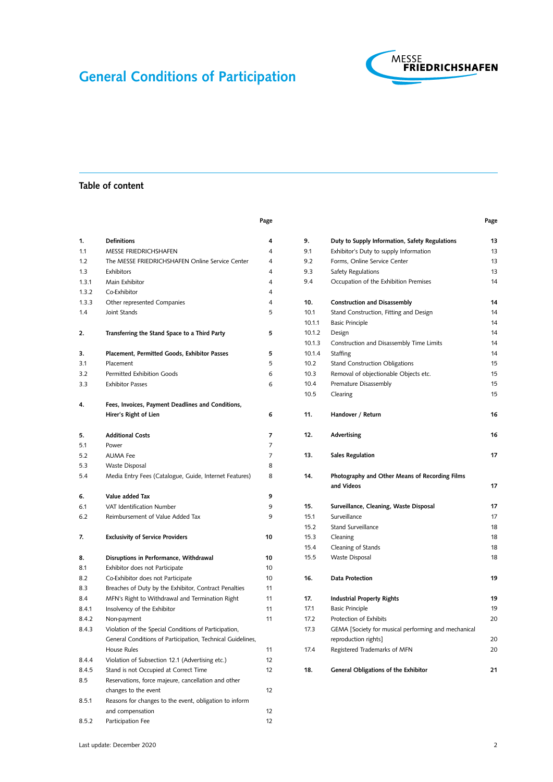Page



Page

### Table of content

| 1.    | <b>Definitions</b>                                         | 4  |
|-------|------------------------------------------------------------|----|
| 1.1   | <b>MESSE FRIEDRICHSHAFEN</b>                               | 4  |
| 1.2   | The MESSE FRIEDRICHSHAFEN Online Service Center            | 4  |
| 1.3   | Exhibitors                                                 | 4  |
| 1.3.1 | Main Exhibitor                                             | 4  |
| 1.3.2 | Co-Exhibitor                                               | 4  |
| 1.3.3 | Other represented Companies                                | 4  |
| 1.4   | Joint Stands                                               | 5  |
|       |                                                            |    |
| 2.    | Transferring the Stand Space to a Third Party              | 5  |
| 3.    | Placement, Permitted Goods, Exhibitor Passes               | 5  |
| 3.1   | Placement                                                  | 5  |
| 3.2   | <b>Permitted Exhibition Goods</b>                          | 6  |
| 3.3   | <b>Exhibitor Passes</b>                                    | 6  |
|       |                                                            |    |
| 4.    | Fees, Invoices, Payment Deadlines and Conditions,          |    |
|       | Hirer's Right of Lien                                      | 6  |
|       |                                                            |    |
| 5.    | <b>Additional Costs</b>                                    | 7  |
| 5.1   | Power                                                      | 7  |
| 5.2   | <b>AUMA Fee</b>                                            | 7  |
| 5.3   | Waste Disposal                                             | 8  |
| 5.4   | Media Entry Fees (Catalogue, Guide, Internet Features)     | 8  |
| 6.    | Value added Tax                                            | 9  |
| 6.1   | VAT Identification Number                                  | 9  |
| 6.2   | Reimbursement of Value Added Tax                           | 9  |
|       |                                                            |    |
| 7.    | <b>Exclusivity of Service Providers</b>                    | 10 |
| 8.    | Disruptions in Performance, Withdrawal                     | 10 |
| 8.1   | Exhibitor does not Participate                             | 10 |
| 8.2   | Co-Exhibitor does not Participate                          | 10 |
| 8.3   | Breaches of Duty by the Exhibitor, Contract Penalties      | 11 |
| 8.4   | MFN's Right to Withdrawal and Termination Right            | 11 |
| 8.4.1 | Insolvency of the Exhibitor                                | 11 |
| 8.4.2 | Non-payment                                                | 11 |
| 8.4.3 | Violation of the Special Conditions of Participation,      |    |
|       | General Conditions of Participation, Technical Guidelines, |    |
|       | House Rules                                                | 11 |
| 8.4.4 | Violation of Subsection 12.1 (Advertising etc.)            | 12 |
| 8.4.5 | Stand is not Occupied at Correct Time                      | 12 |
| 8.5   | Reservations, force majeure, cancellation and other        |    |
|       | changes to the event                                       | 12 |
| 8.5.1 | Reasons for changes to the event, obligation to inform     |    |
|       | and compensation                                           | 12 |
| 8.5.2 | Participation Fee                                          | 12 |

# 9. [Duty to Supply Information, Safety Regulations](#page-12-0) 13 9.1 [Exhibitor's Duty to supply Information](#page-12-0) 13 9.2 [Forms, Online Service Center](#page-12-0) 13 9.3 [Safety Regulations](#page-12-0) 13 9.4 [Occupation of the Exhibition Premises](#page-13-0) 14 10. [Construction and Disassembly](#page-13-0) 14 10.1 [Stand Construction, Fitting and Design](#page-13-0) 14 10.1.1 [Basic Principle](#page-13-0) 14 10.1.2 [Design](#page-13-0) 14 10.1.3 [Construction and Disassembly Time Limits](#page-13-0) 14 10.1.4 [Staffing](#page-13-0) 14 10.2 [Stand Construction Obligations](#page-14-0) 15 10.3 [Removal of objectionable Objects etc.](#page-14-0) 15 10.4 [Premature Disassembly](#page-14-0) 15 10.5 [Clearing](#page-14-0) 15 11. [Handover / Return](#page-15-0) 16 12. [Advertising](#page-15-0) 16 13. [Sales Regulation](#page-16-0) 17 14. [Photography and Other Means of Recording Films](#page-16-0) [and Videos](#page-16-0) 2008 17 15. [Surveillance, Cleaning, Waste Disposal](#page-16-0) 17 15.1 [Surveillance](#page-16-0) 17 15.2 [Stand Surveillance](#page-17-0) 18 15.3 [Cleaning](#page-17-0) 18 15.4 [Cleaning of Stands](#page-17-0) 18 15.5 [Waste Disposal](#page-17-0) 18 16. [Data Protection](#page-18-0) 2002 19 17. [Industrial Property Rights](#page-18-0) 19 17.1 [Basic Principle](#page-18-0) 19 17.2 [Protection of Exhibits](#page-19-0) 20 17.3 [GEMA \[Society for musical performing and mechanical](#page-19-0) [reproduction rights\]](#page-19-0) 20

17.4 [Registered Trademarks of MFN](#page-19-0) 20

18. [General Obligations of the Exhibitor](#page-20-0) 21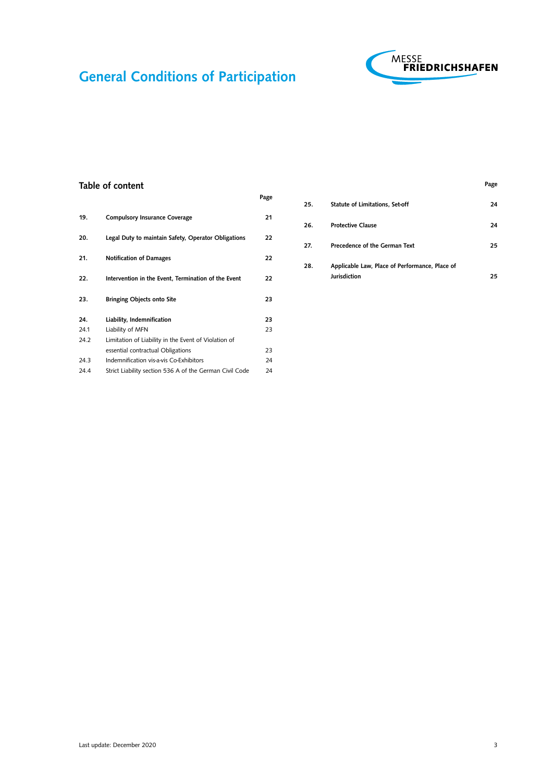

Page

### Table of content

|      |                                                         | Page |
|------|---------------------------------------------------------|------|
| 19.  | <b>Compulsory Insurance Coverage</b>                    | 21   |
| 20.  | Legal Duty to maintain Safety, Operator Obligations     | 22   |
| 21.  | <b>Notification of Damages</b>                          | 22   |
| 22.  | Intervention in the Event, Termination of the Event     | 22   |
| 23.  | <b>Bringing Objects onto Site</b>                       | 23   |
| 24.  | Liability, Indemnification                              | 23   |
| 24.1 | Liability of MFN                                        | 23   |
| 24.2 | Limitation of Liability in the Event of Violation of    |      |
|      | essential contractual Obligations                       | 23   |
| 24.3 | Indemnification vis-a-vis Co-Exhibitors                 | 24   |
| 24.4 | Strict Liability section 536 A of the German Civil Code | 24   |
|      |                                                         |      |

| 25. | Statute of Limitations, Set-off                | 24  |
|-----|------------------------------------------------|-----|
| 26. | <b>Protective Clause</b>                       | 24  |
| 27. | Precedence of the German Text                  | 25. |
| 28. | Applicable Law, Place of Performance, Place of |     |
|     | Jurisdiction                                   | 25  |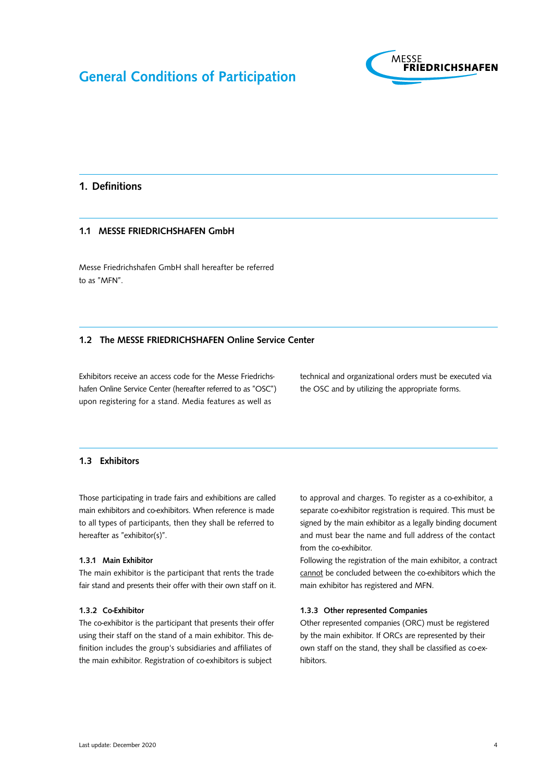

# <span id="page-3-0"></span>1. Definitions

### 1.1 MESSE FRIEDRICHSHAFEN GmbH

Messe Friedrichshafen GmbH shall hereafter be referred to as "MFN".

### 1.2 The MESSE FRIEDRICHSHAFEN Online Service Center

Exhibitors receive an access code for the Messe Friedrichshafen Online Service Center (hereafter referred to as "OSC") upon registering for a stand. Media features as well as

technical and organizational orders must be executed via the OSC and by utilizing the appropriate forms.

#### 1.3 Exhibitors

Those participating in trade fairs and exhibitions are called main exhibitors and co-exhibitors. When reference is made to all types of participants, then they shall be referred to hereafter as "exhibitor(s)".

#### 1.3.1 Main Exhibitor

The main exhibitor is the participant that rents the trade fair stand and presents their offer with their own staff on it.

#### 1.3.2 Co-Exhibitor

The co-exhibitor is the participant that presents their offer using their staff on the stand of a main exhibitor. This definition includes the group's subsidiaries and affiliates of the main exhibitor. Registration of co-exhibitors is subject

to approval and charges. To register as a co-exhibitor, a separate co-exhibitor registration is required. This must be signed by the main exhibitor as a legally binding document and must bear the name and full address of the contact from the co-exhibitor.

Following the registration of the main exhibitor, a contract cannot be concluded between the co-exhibitors which the main exhibitor has registered and MFN.

#### 1.3.3 Other represented Companies

Other represented companies (ORC) must be registered by the main exhibitor. If ORCs are represented by their own staff on the stand, they shall be classified as co-exhibitors.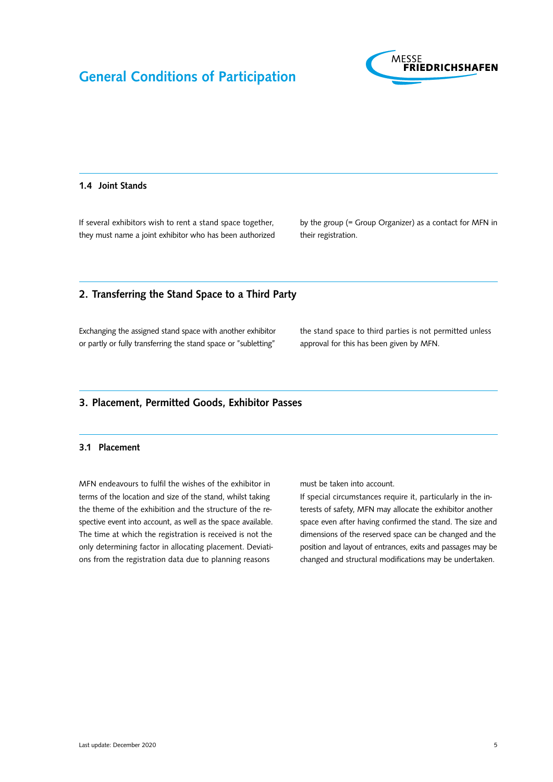

#### <span id="page-4-0"></span>1.4 Joint Stands

If several exhibitors wish to rent a stand space together, they must name a joint exhibitor who has been authorized by the group (= Group Organizer) as a contact for MFN in their registration.

### 2. Transferring the Stand Space to a Third Party

Exchanging the assigned stand space with another exhibitor or partly or fully transferring the stand space or "subletting"

the stand space to third parties is not permitted unless approval for this has been given by MFN.

### 3. Placement, Permitted Goods, Exhibitor Passes

#### 3.1 Placement

MFN endeavours to fulfil the wishes of the exhibitor in terms of the location and size of the stand, whilst taking the theme of the exhibition and the structure of the respective event into account, as well as the space available. The time at which the registration is received is not the only determining factor in allocating placement. Deviations from the registration data due to planning reasons

must be taken into account.

If special circumstances require it, particularly in the interests of safety, MFN may allocate the exhibitor another space even after having confirmed the stand. The size and dimensions of the reserved space can be changed and the position and layout of entrances, exits and passages may be changed and structural modifications may be undertaken.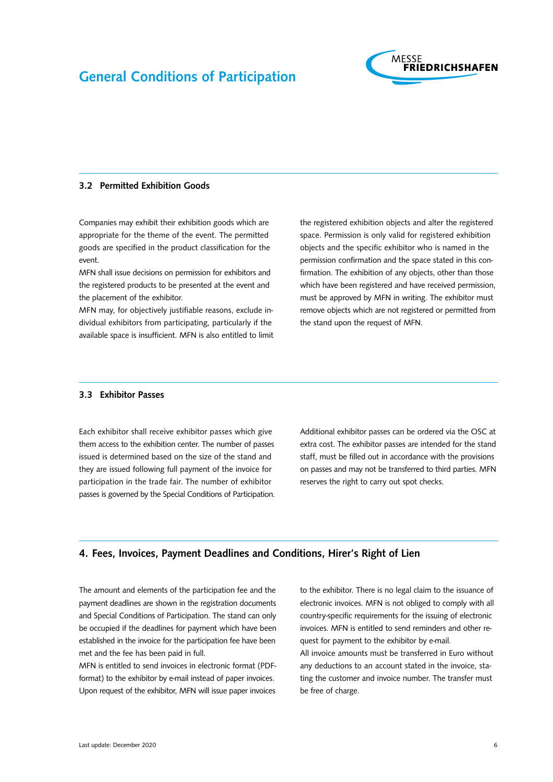

#### <span id="page-5-0"></span>3.2 Permitted Exhibition Goods

Companies may exhibit their exhibition goods which are appropriate for the theme of the event. The permitted goods are specified in the product classification for the event.

MFN shall issue decisions on permission for exhibitors and the registered products to be presented at the event and the placement of the exhibitor.

MFN may, for objectively justifiable reasons, exclude individual exhibitors from participating, particularly if the available space is insufficient. MFN is also entitled to limit the registered exhibition objects and alter the registered space. Permission is only valid for registered exhibition objects and the specific exhibitor who is named in the permission confirmation and the space stated in this confirmation. The exhibition of any objects, other than those which have been registered and have received permission, must be approved by MFN in writing. The exhibitor must remove objects which are not registered or permitted from the stand upon the request of MFN.

#### 3.3 Exhibitor Passes

Each exhibitor shall receive exhibitor passes which give them access to the exhibition center. The number of passes issued is determined based on the size of the stand and they are issued following full payment of the invoice for participation in the trade fair. The number of exhibitor passes is governed by the Special Conditions of Participation. Additional exhibitor passes can be ordered via the OSC at extra cost. The exhibitor passes are intended for the stand staff, must be filled out in accordance with the provisions on passes and may not be transferred to third parties. MFN reserves the right to carry out spot checks.

### 4. Fees, Invoices, Payment Deadlines and Conditions, Hirer's Right of Lien

The amount and elements of the participation fee and the payment deadlines are shown in the registration documents and Special Conditions of Participation. The stand can only be occupied if the deadlines for payment which have been established in the invoice for the participation fee have been met and the fee has been paid in full.

MFN is entitled to send invoices in electronic format (PDFformat) to the exhibitor by e-mail instead of paper invoices. Upon request of the exhibitor, MFN will issue paper invoices

to the exhibitor. There is no legal claim to the issuance of electronic invoices. MFN is not obliged to comply with all country-specific requirements for the issuing of electronic invoices. MFN is entitled to send reminders and other request for payment to the exhibitor by e-mail. All invoice amounts must be transferred in Euro without any deductions to an account stated in the invoice, stating the customer and invoice number. The transfer must

be free of charge.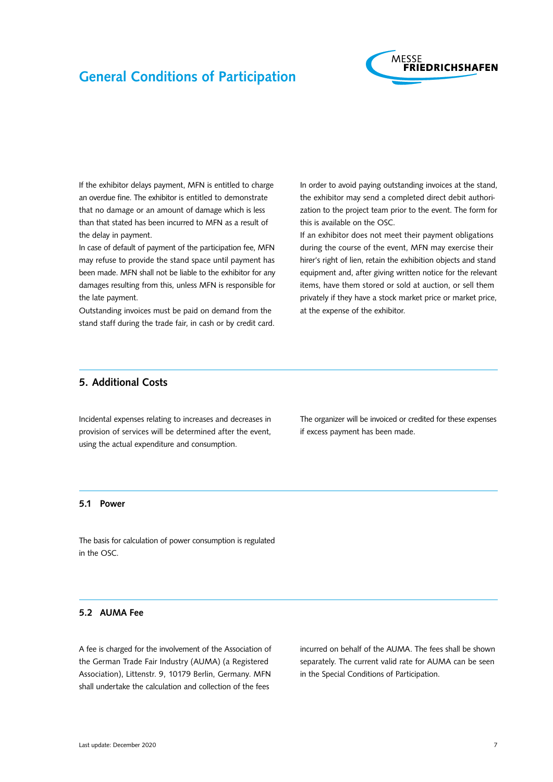

<span id="page-6-0"></span>If the exhibitor delays payment, MFN is entitled to charge an overdue fine. The exhibitor is entitled to demonstrate that no damage or an amount of damage which is less than that stated has been incurred to MFN as a result of the delay in payment.

In case of default of payment of the participation fee, MFN may refuse to provide the stand space until payment has been made. MFN shall not be liable to the exhibitor for any damages resulting from this, unless MFN is responsible for the late payment.

Outstanding invoices must be paid on demand from the stand staff during the trade fair, in cash or by credit card. In order to avoid paying outstanding invoices at the stand, the exhibitor may send a completed direct debit authorization to the project team prior to the event. The form for this is available on the OSC.

If an exhibitor does not meet their payment obligations during the course of the event, MFN may exercise their hirer's right of lien, retain the exhibition objects and stand equipment and, after giving written notice for the relevant items, have them stored or sold at auction, or sell them privately if they have a stock market price or market price, at the expense of the exhibitor.

# 5. Additional Costs

Incidental expenses relating to increases and decreases in provision of services will be determined after the event, using the actual expenditure and consumption.

The organizer will be invoiced or credited for these expenses if excess payment has been made.

#### 5.1 Power

The basis for calculation of power consumption is regulated in the OSC.

### 5.2 AUMA Fee

A fee is charged for the involvement of the Association of the German Trade Fair Industry (AUMA) (a Registered Association), Littenstr. 9, 10179 Berlin, Germany. MFN shall undertake the calculation and collection of the fees

incurred on behalf of the AUMA. The fees shall be shown separately. The current valid rate for AUMA can be seen in the Special Conditions of Participation.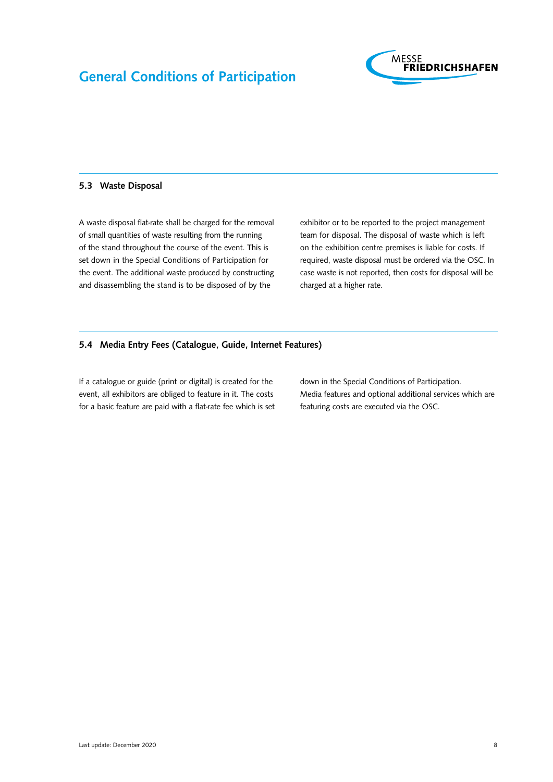

#### <span id="page-7-0"></span>5.3 Waste Disposal

A waste disposal flat-rate shall be charged for the removal of small quantities of waste resulting from the running of the stand throughout the course of the event. This is set down in the Special Conditions of Participation for the event. The additional waste produced by constructing and disassembling the stand is to be disposed of by the

exhibitor or to be reported to the project management team for disposal. The disposal of waste which is left on the exhibition centre premises is liable for costs. If required, waste disposal must be ordered via the OSC. In case waste is not reported, then costs for disposal will be charged at a higher rate.

### 5.4 Media Entry Fees (Catalogue, Guide, Internet Features)

If a catalogue or guide (print or digital) is created for the event, all exhibitors are obliged to feature in it. The costs for a basic feature are paid with a flat-rate fee which is set down in the Special Conditions of Participation. Media features and optional additional services which are featuring costs are executed via the OSC.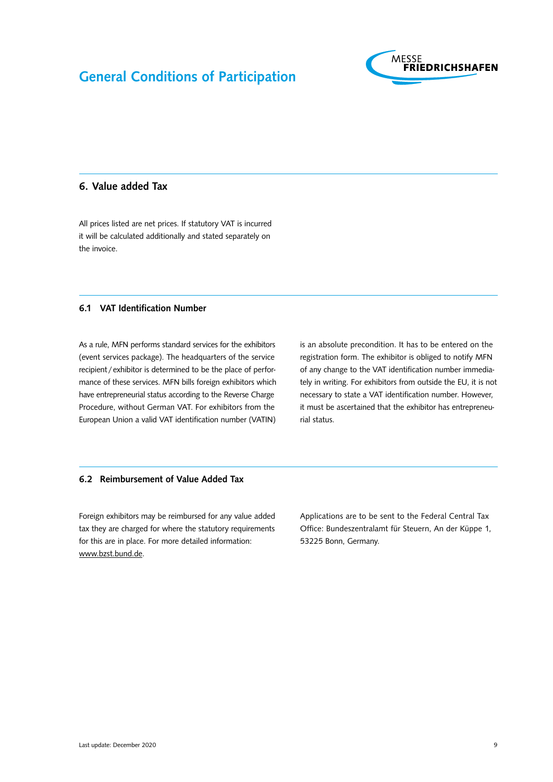

# <span id="page-8-0"></span>6. Value added Tax

All prices listed are net prices. If statutory VAT is incurred it will be calculated additionally and stated separately on the invoice.

#### 6.1 VAT Identification Number

As a rule, MFN performs standard services for the exhibitors (event services package). The headquarters of the service recipient /exhibitor is determined to be the place of performance of these services. MFN bills foreign exhibitors which have entrepreneurial status according to the Reverse Charge Procedure, without German VAT. For exhibitors from the European Union a valid VAT identification number (VATIN)

is an absolute precondition. It has to be entered on the registration form. The exhibitor is obliged to notify MFN of any change to the VAT identification number immediately in writing. For exhibitors from outside the EU, it is not necessary to state a VAT identification number. However, it must be ascertained that the exhibitor has entrepreneurial status.

#### 6.2 Reimbursement of Value Added Tax

Foreign exhibitors may be reimbursed for any value added tax they are charged for where the statutory requirements for this are in place. For more detailed information: [www.bzst.bund.de](http://www.bzst.bund.de).

Applications are to be sent to the Federal Central Tax Office: Bundeszentralamt für Steuern, An der Küppe 1, 53225 Bonn, Germany.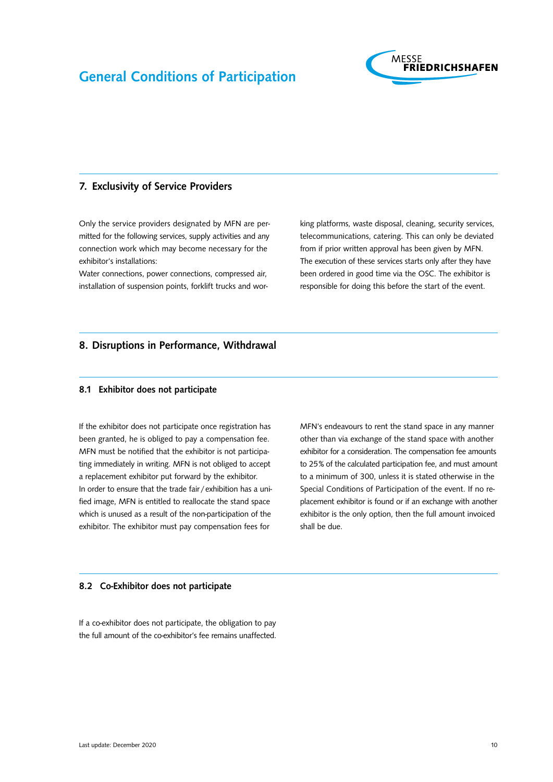

### <span id="page-9-0"></span>7. Exclusivity of Service Providers

Only the service providers designated by MFN are permitted for the following services, supply activities and any connection work which may become necessary for the exhibitor's installations:

Water connections, power connections, compressed air, installation of suspension points, forklift trucks and working platforms, waste disposal, cleaning, security services, telecommunications, catering. This can only be deviated from if prior written approval has been given by MFN. The execution of these services starts only after they have been ordered in good time via the OSC. The exhibitor is responsible for doing this before the start of the event.

# 8. Disruptions in Performance, Withdrawal

#### 8.1 Exhibitor does not participate

If the exhibitor does not participate once registration has been granted, he is obliged to pay a compensation fee. MFN must be notified that the exhibitor is not participating immediately in writing. MFN is not obliged to accept a replacement exhibitor put forward by the exhibitor. In order to ensure that the trade fair /exhibition has a unified image, MFN is entitled to reallocate the stand space which is unused as a result of the non-participation of the exhibitor. The exhibitor must pay compensation fees for

MFN's endeavours to rent the stand space in any manner other than via exchange of the stand space with another exhibitor for a consideration. The compensation fee amounts to 25% of the calculated participation fee, and must amount to a minimum of 300, unless it is stated otherwise in the Special Conditions of Participation of the event. If no replacement exhibitor is found or if an exchange with another exhibitor is the only option, then the full amount invoiced shall be due.

#### 8.2 Co-Exhibitor does not participate

If a co-exhibitor does not participate, the obligation to pay the full amount of the co-exhibitor's fee remains unaffected.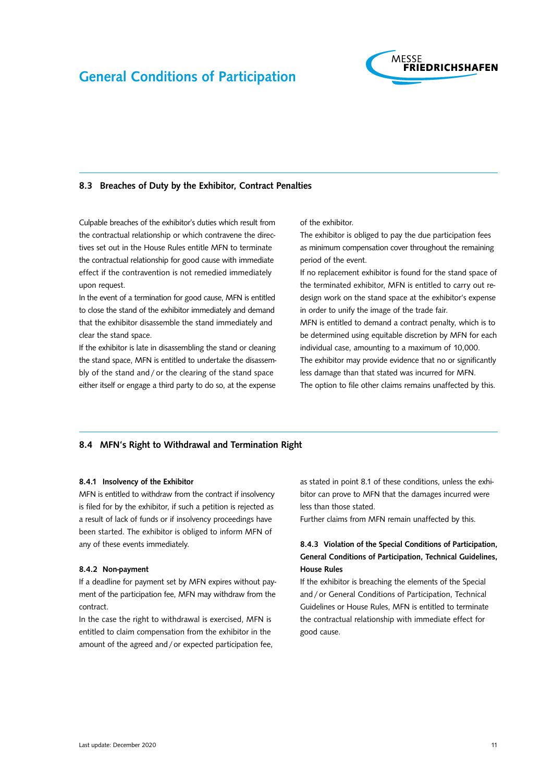

#### <span id="page-10-0"></span>8.3 Breaches of Duty by the Exhibitor, Contract Penalties

Culpable breaches of the exhibitor's duties which result from the contractual relationship or which contravene the directives set out in the House Rules entitle MFN to terminate the contractual relationship for good cause with immediate effect if the contravention is not remedied immediately upon request.

In the event of a termination for good cause, MFN is entitled to close the stand of the exhibitor immediately and demand that the exhibitor disassemble the stand immediately and clear the stand space.

If the exhibitor is late in disassembling the stand or cleaning the stand space, MFN is entitled to undertake the disassembly of the stand and / or the clearing of the stand space either itself or engage a third party to do so, at the expense of the exhibitor.

The exhibitor is obliged to pay the due participation fees as minimum compensation cover throughout the remaining period of the event.

If no replacement exhibitor is found for the stand space of the terminated exhibitor, MFN is entitled to carry out redesign work on the stand space at the exhibitor's expense in order to unify the image of the trade fair.

MFN is entitled to demand a contract penalty, which is to be determined using equitable discretion by MFN for each individual case, amounting to a maximum of 10,000. The exhibitor may provide evidence that no or significantly less damage than that stated was incurred for MFN. The option to file other claims remains unaffected by this.

#### 8.4 MFN's Right to Withdrawal and Termination Right

#### 8.4.1 Insolvency of the Exhibitor

MFN is entitled to withdraw from the contract if insolvency is filed for by the exhibitor, if such a petition is rejected as a result of lack of funds or if insolvency proceedings have been started. The exhibitor is obliged to inform MFN of any of these events immediately.

#### 8.4.2 Non-payment

If a deadline for payment set by MFN expires without payment of the participation fee, MFN may withdraw from the contract.

In the case the right to withdrawal is exercised, MFN is entitled to claim compensation from the exhibitor in the amount of the agreed and/or expected participation fee, as stated in point 8.1 of these conditions, unless the exhibitor can prove to MFN that the damages incurred were less than those stated.

Further claims from MFN remain unaffected by this.

# 8.4.3 Violation of the Special Conditions of Participation, General Conditions of Participation, Technical Guidelines, House Rules

If the exhibitor is breaching the elements of the Special and / or General Conditions of Participation, Technical Guidelines or House Rules, MFN is entitled to terminate the contractual relationship with immediate effect for good cause.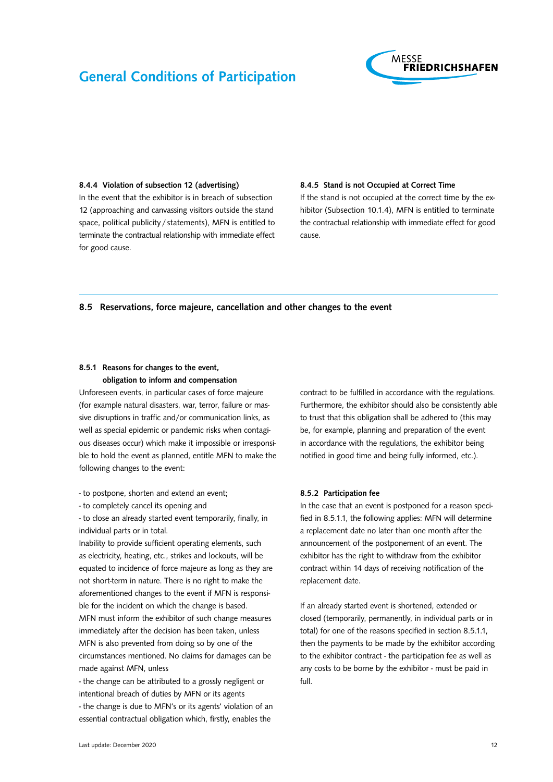

#### <span id="page-11-0"></span>8.4.4 Violation of subsection 12 (advertising)

In the event that the exhibitor is in breach of subsection 12 (approaching and canvassing visitors outside the stand space, political publicity / statements), MFN is entitled to terminate the contractual relationship with immediate effect for good cause.

#### 8.4.5 Stand is not Occupied at Correct Time

If the stand is not occupied at the correct time by the exhibitor (Subsection 10.1.4), MFN is entitled to terminate the contractual relationship with immediate effect for good cause.

#### 8.5 Reservations, force majeure, cancellation and other changes to the event

### 8.5.1 Reasons for changes to the event, obligation to inform and compensation

Unforeseen events, in particular cases of force majeure (for example natural disasters, war, terror, failure or massive disruptions in traffic and/or communication links, as well as special epidemic or pandemic risks when contagious diseases occur) which make it impossible or irresponsible to hold the event as planned, entitle MFN to make the following changes to the event:

- to postpone, shorten and extend an event;

- to completely cancel its opening and

- to close an already started event temporarily, finally, in individual parts or in total.

Inability to provide sufficient operating elements, such as electricity, heating, etc., strikes and lockouts, will be equated to incidence of force majeure as long as they are not short-term in nature. There is no right to make the aforementioned changes to the event if MFN is responsible for the incident on which the change is based. MFN must inform the exhibitor of such change measures immediately after the decision has been taken, unless MFN is also prevented from doing so by one of the circumstances mentioned. No claims for damages can be made against MFN, unless

- the change can be attributed to a grossly negligent or intentional breach of duties by MFN or its agents - the change is due to MFN's or its agents' violation of an essential contractual obligation which, firstly, enables the

contract to be fulfilled in accordance with the regulations. Furthermore, the exhibitor should also be consistently able to trust that this obligation shall be adhered to (this may be, for example, planning and preparation of the event in accordance with the regulations, the exhibitor being notified in good time and being fully informed, etc.).

#### 8.5.2 Participation fee

In the case that an event is postponed for a reason specified in 8.5.1.1, the following applies: MFN will determine a replacement date no later than one month after the announcement of the postponement of an event. The exhibitor has the right to withdraw from the exhibitor contract within 14 days of receiving notification of the replacement date.

If an already started event is shortened, extended or closed (temporarily, permanently, in individual parts or in total) for one of the reasons specified in section 8.5.1.1, then the payments to be made by the exhibitor according to the exhibitor contract - the participation fee as well as any costs to be borne by the exhibitor - must be paid in full.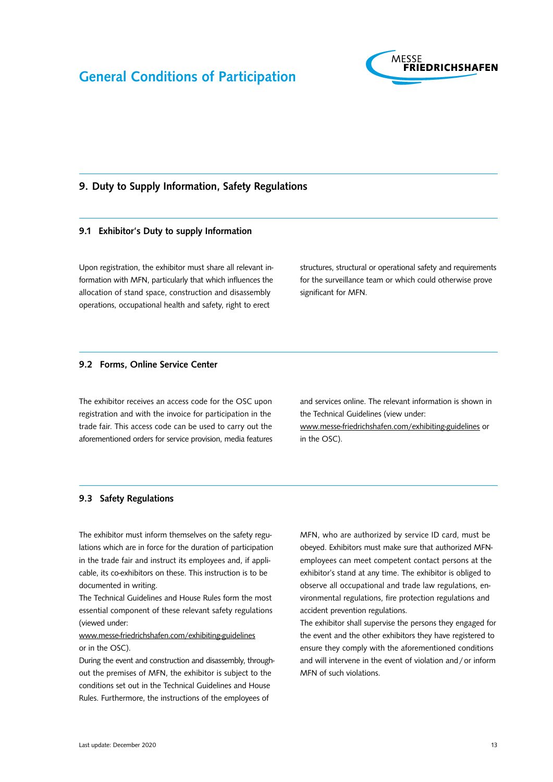

## <span id="page-12-0"></span>9. Duty to Supply Information, Safety Regulations

### 9.1 Exhibitor's Duty to supply Information

Upon registration, the exhibitor must share all relevant information with MFN, particularly that which influences the allocation of stand space, construction and disassembly operations, occupational health and safety, right to erect

structures, structural or operational safety and requirements for the surveillance team or which could otherwise prove significant for MFN.

#### 9.2 Forms, Online Service Center

The exhibitor receives an access code for the OSC upon registration and with the invoice for participation in the trade fair. This access code can be used to carry out the aforementioned orders for service provision, media features and services online. The relevant information is shown in the Technical Guidelines (view under: [www.messe-friedrichshafen.com/exhibiting-guidelines](http://www.messe-friedrichshafen.com/exhibiting-guidelines) or

in the OSC).

#### 9.3 Safety Regulations

The exhibitor must inform themselves on the safety regulations which are in force for the duration of participation in the trade fair and instruct its employees and, if applicable, its co-exhibitors on these. This instruction is to be documented in writing.

The Technical Guidelines and House Rules form the most essential component of these relevant safety regulations (viewed under:

### [www.messe-friedrichshafen.com/exhibiting-guidelines](http://www.messe-friedrichshafen.com/exhibiting- guidelines) or in the OSC).

During the event and construction and disassembly, throughout the premises of MFN, the exhibitor is subject to the conditions set out in the Technical Guidelines and House Rules. Furthermore, the instructions of the employees of

MFN, who are authorized by service ID card, must be obeyed. Exhibitors must make sure that authorized MFNemployees can meet competent contact persons at the exhibitor's stand at any time. The exhibitor is obliged to observe all occupational and trade law regulations, environmental regulations, fire protection regulations and accident prevention regulations.

The exhibitor shall supervise the persons they engaged for the event and the other exhibitors they have registered to ensure they comply with the aforementioned conditions and will intervene in the event of violation and/or inform MFN of such violations.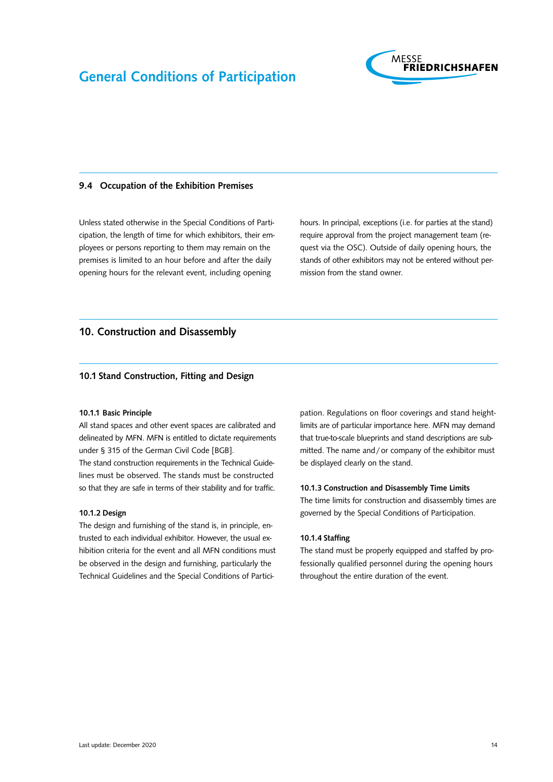

#### <span id="page-13-0"></span>9.4 Occupation of the Exhibition Premises

Unless stated otherwise in the Special Conditions of Participation, the length of time for which exhibitors, their employees or persons reporting to them may remain on the premises is limited to an hour before and after the daily opening hours for the relevant event, including opening

hours. In principal, exceptions (i.e. for parties at the stand) require approval from the project management team (request via the OSC). Outside of daily opening hours, the stands of other exhibitors may not be entered without permission from the stand owner.

# 10. Construction and Disassembly

### 10.1 Stand Construction, Fitting and Design

#### 10.1.1 Basic Principle

All stand spaces and other event spaces are calibrated and delineated by MFN. MFN is entitled to dictate requirements under § 315 of the German Civil Code [BGB].

The stand construction requirements in the Technical Guidelines must be observed. The stands must be constructed so that they are safe in terms of their stability and for traffic.

#### 10.1.2 Design

The design and furnishing of the stand is, in principle, entrusted to each individual exhibitor. However, the usual exhibition criteria for the event and all MFN conditions must be observed in the design and furnishing, particularly the Technical Guidelines and the Special Conditions of Participation. Regulations on floor coverings and stand heightlimits are of particular importance here. MFN may demand that true-to-scale blueprints and stand descriptions are submitted. The name and/or company of the exhibitor must be displayed clearly on the stand.

#### 10.1.3 Construction and Disassembly Time Limits

The time limits for construction and disassembly times are governed by the Special Conditions of Participation.

#### 10.1.4 Staffing

The stand must be properly equipped and staffed by professionally qualified personnel during the opening hours throughout the entire duration of the event.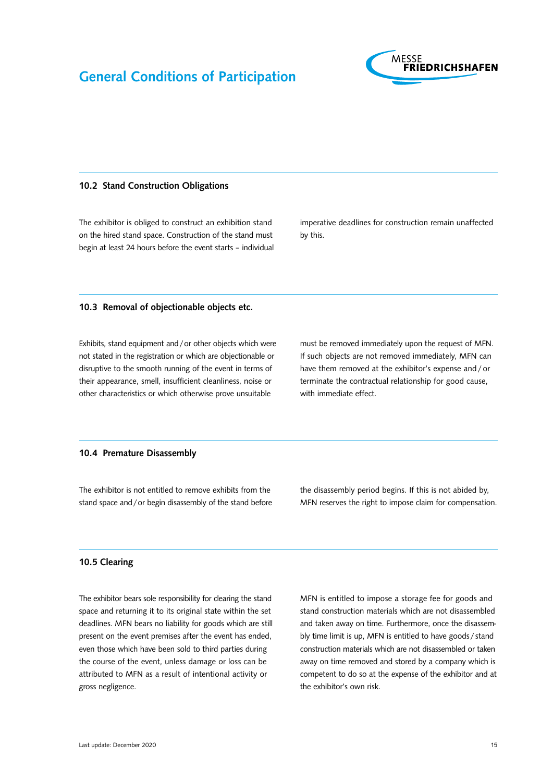

#### <span id="page-14-0"></span>10.2 Stand Construction Obligations

The exhibitor is obliged to construct an exhibition stand on the hired stand space. Construction of the stand must begin at least 24 hours before the event starts – individual imperative deadlines for construction remain unaffected by this.

#### 10.3 Removal of objectionable objects etc.

Exhibits, stand equipment and/or other objects which were not stated in the registration or which are objectionable or disruptive to the smooth running of the event in terms of their appearance, smell, insufficient cleanliness, noise or other characteristics or which otherwise prove unsuitable

must be removed immediately upon the request of MFN. If such objects are not removed immediately, MFN can have them removed at the exhibitor's expense and / or terminate the contractual relationship for good cause, with immediate effect.

### 10.4 Premature Disassembly

The exhibitor is not entitled to remove exhibits from the stand space and/or begin disassembly of the stand before the disassembly period begins. If this is not abided by, MFN reserves the right to impose claim for compensation.

#### 10.5 Clearing

The exhibitor bears sole responsibility for clearing the stand space and returning it to its original state within the set deadlines. MFN bears no liability for goods which are still present on the event premises after the event has ended, even those which have been sold to third parties during the course of the event, unless damage or loss can be attributed to MFN as a result of intentional activity or gross negligence.

MFN is entitled to impose a storage fee for goods and stand construction materials which are not disassembled and taken away on time. Furthermore, once the disassembly time limit is up, MFN is entitled to have goods / stand construction materials which are not disassembled or taken away on time removed and stored by a company which is competent to do so at the expense of the exhibitor and at the exhibitor's own risk.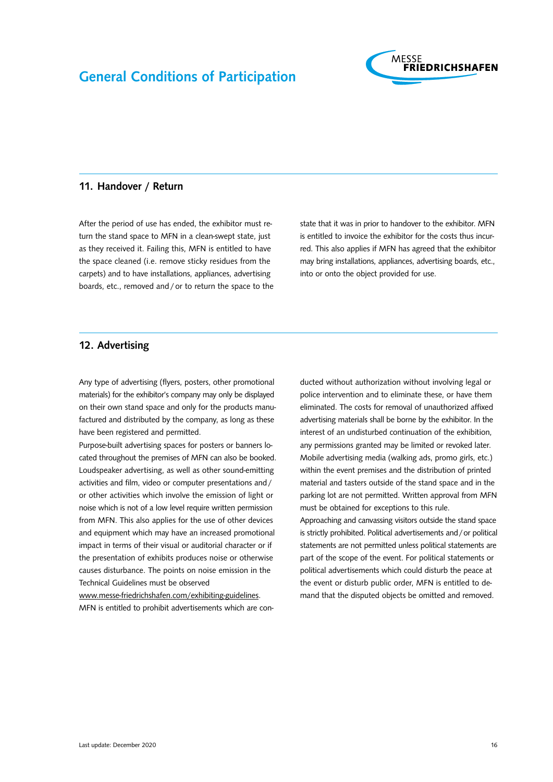

#### <span id="page-15-0"></span>11. Handover / Return

After the period of use has ended, the exhibitor must return the stand space to MFN in a clean-swept state, just as they received it. Failing this, MFN is entitled to have the space cleaned (i.e. remove sticky residues from the carpets) and to have installations, appliances, advertising boards, etc., removed and / or to return the space to the state that it was in prior to handover to the exhibitor. MFN is entitled to invoice the exhibitor for the costs thus incurred. This also applies if MFN has agreed that the exhibitor may bring installations, appliances, advertising boards, etc., into or onto the object provided for use.

# 12. Advertising

Any type of advertising (flyers, posters, other promotional materials) for the exhibitor's company may only be displayed on their own stand space and only for the products manufactured and distributed by the company, as long as these have been registered and permitted.

Purpose-built advertising spaces for posters or banners located throughout the premises of MFN can also be booked. Loudspeaker advertising, as well as other sound-emitting activities and film, video or computer presentations and/ or other activities which involve the emission of light or noise which is not of a low level require written permission from MFN. This also applies for the use of other devices and equipment which may have an increased promotional impact in terms of their visual or auditorial character or if the presentation of exhibits produces noise or otherwise causes disturbance. The points on noise emission in the Technical Guidelines must be observed

[www.messe-friedrichshafen.com/exhibiting-guidelines.](http://www.messe-friedrichshafen.com/exhibiting-guidelines) MFN is entitled to prohibit advertisements which are conducted without authorization without involving legal or police intervention and to eliminate these, or have them eliminated. The costs for removal of unauthorized affixed advertising materials shall be borne by the exhibitor. In the interest of an undisturbed continuation of the exhibition, any permissions granted may be limited or revoked later. Mobile advertising media (walking ads, promo girls, etc.) within the event premises and the distribution of printed material and tasters outside of the stand space and in the parking lot are not permitted. Written approval from MFN must be obtained for exceptions to this rule.

Approaching and canvassing visitors outside the stand space is strictly prohibited. Political advertisements and/or political statements are not permitted unless political statements are part of the scope of the event. For political statements or political advertisements which could disturb the peace at the event or disturb public order, MFN is entitled to demand that the disputed objects be omitted and removed.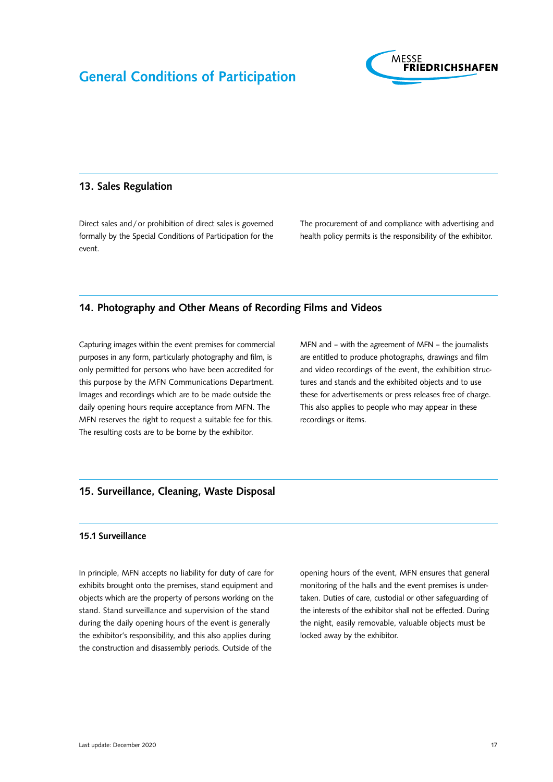

### <span id="page-16-0"></span>13. Sales Regulation

Direct sales and/or prohibition of direct sales is governed formally by the Special Conditions of Participation for the event.

The procurement of and compliance with advertising and health policy permits is the responsibility of the exhibitor.

## 14. Photography and Other Means of Recording Films and Videos

Capturing images within the event premises for commercial purposes in any form, particularly photography and film, is only permitted for persons who have been accredited for this purpose by the MFN Communications Department. Images and recordings which are to be made outside the daily opening hours require acceptance from MFN. The MFN reserves the right to request a suitable fee for this. The resulting costs are to be borne by the exhibitor.

MFN and – with the agreement of MFN – the journalists are entitled to produce photographs, drawings and film and video recordings of the event, the exhibition structures and stands and the exhibited objects and to use these for advertisements or press releases free of charge. This also applies to people who may appear in these recordings or items.

### 15. Surveillance, Cleaning, Waste Disposal

### 15.1 Surveillance

In principle, MFN accepts no liability for duty of care for exhibits brought onto the premises, stand equipment and objects which are the property of persons working on the stand. Stand surveillance and supervision of the stand during the daily opening hours of the event is generally the exhibitor's responsibility, and this also applies during the construction and disassembly periods. Outside of the

opening hours of the event, MFN ensures that general monitoring of the halls and the event premises is undertaken. Duties of care, custodial or other safeguarding of the interests of the exhibitor shall not be effected. During the night, easily removable, valuable objects must be locked away by the exhibitor.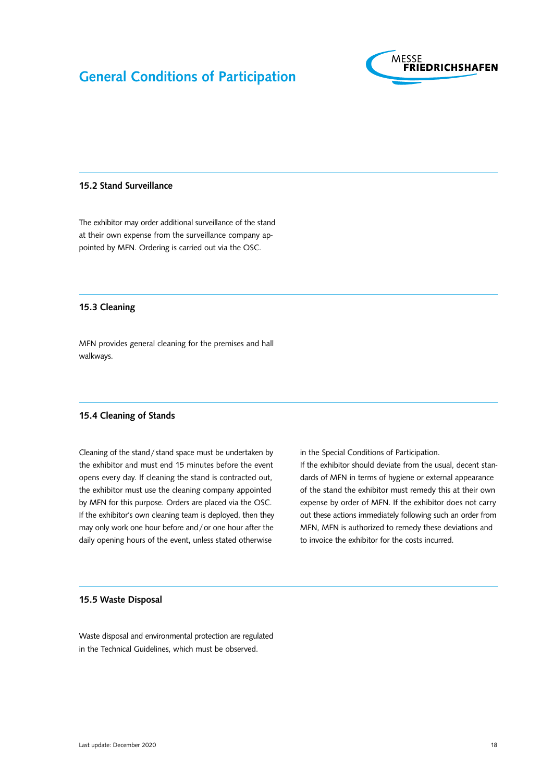

#### <span id="page-17-0"></span>15.2 Stand Surveillance

The exhibitor may order additional surveillance of the stand at their own expense from the surveillance company appointed by MFN. Ordering is carried out via the OSC.

#### 15.3 Cleaning

MFN provides general cleaning for the premises and hall walkways.

#### 15.4 Cleaning of Stands

Cleaning of the stand/stand space must be undertaken by the exhibitor and must end 15 minutes before the event opens every day. If cleaning the stand is contracted out, the exhibitor must use the cleaning company appointed by MFN for this purpose. Orders are placed via the OSC. If the exhibitor's own cleaning team is deployed, then they may only work one hour before and/or one hour after the daily opening hours of the event, unless stated otherwise

in the Special Conditions of Participation.

If the exhibitor should deviate from the usual, decent standards of MFN in terms of hygiene or external appearance of the stand the exhibitor must remedy this at their own expense by order of MFN. If the exhibitor does not carry out these actions immediately following such an order from MFN, MFN is authorized to remedy these deviations and to invoice the exhibitor for the costs incurred.

#### 15.5 Waste Disposal

Waste disposal and environmental protection are regulated in the Technical Guidelines, which must be observed.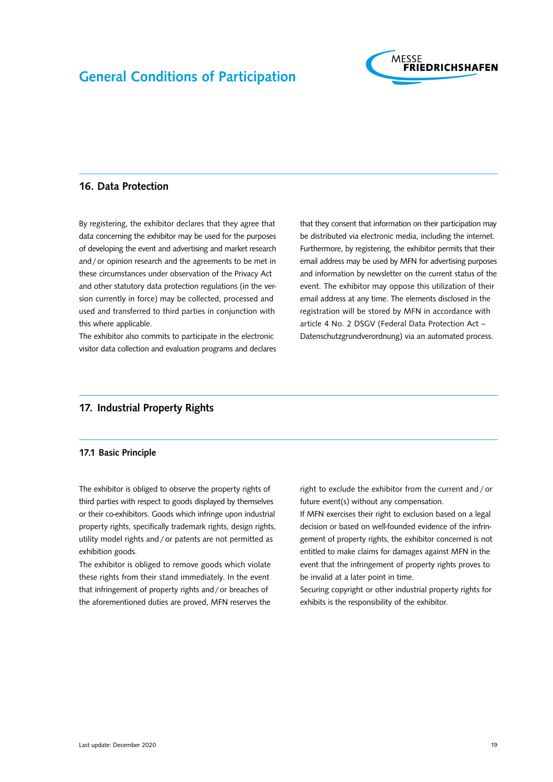

### <span id="page-18-0"></span>16. Data Protection

By registering, the exhibitor declares that they agree that data concerning the exhibitor may be used for the purposes of developing the event and advertising and market research and/or opinion research and the agreements to be met in these circumstances under observation of the Privacy Act and other statutory data protection regulations (in the version currently in force) may be collected, processed and used and transferred to third parties in conjunction with this where applicable.

The exhibitor also commits to participate in the electronic visitor data collection and evaluation programs and declares that they consent that information on their participation may be distributed via electronic media, including the internet. Furthermore, by registering, the exhibitor permits that their email address may be used by MFN for advertising purposes and information by newsletter on the current status of the event. The exhibitor may oppose this utilization of their email address at any time. The elements disclosed in the registration will be stored by MFN in accordance with article 4 No. 2 DSGV (Federal Data Protection Act – Datenschutzgrundverordnung) via an automated process.

# 17. Industrial Property Rights

#### 17.1 Basic Principle

The exhibitor is obliged to observe the property rights of third parties with respect to goods displayed by themselves or their co-exhibitors. Goods which infringe upon industrial property rights, specifically trademark rights, design rights, utility model rights and / or patents are not permitted as exhibition goods.

The exhibitor is obliged to remove goods which violate these rights from their stand immediately. In the event that infringement of property rights and/or breaches of the aforementioned duties are proved, MFN reserves the

right to exclude the exhibitor from the current and / or future event(s) without any compensation.

If MFN exercises their right to exclusion based on a legal decision or based on well-founded evidence of the infringement of property rights, the exhibitor concerned is not entitled to make claims for damages against MFN in the event that the infringement of property rights proves to be invalid at a later point in time.

Securing copyright or other industrial property rights for exhibits is the responsibility of the exhibitor.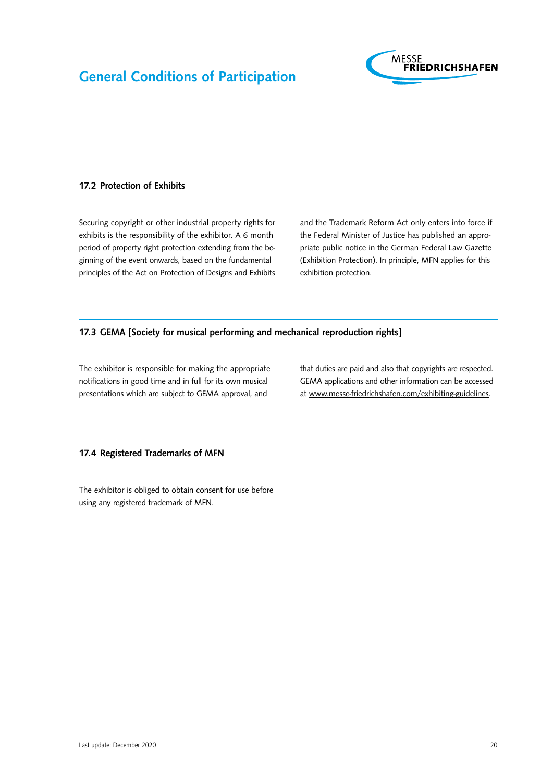

#### <span id="page-19-0"></span>17.2 Protection of Exhibits

Securing copyright or other industrial property rights for exhibits is the responsibility of the exhibitor. A 6 month period of property right protection extending from the beginning of the event onwards, based on the fundamental principles of the Act on Protection of Designs and Exhibits and the Trademark Reform Act only enters into force if the Federal Minister of Justice has published an appropriate public notice in the German Federal Law Gazette (Exhibition Protection). In principle, MFN applies for this exhibition protection.

### 17.3 GEMA [Society for musical performing and mechanical reproduction rights]

The exhibitor is responsible for making the appropriate notifications in good time and in full for its own musical presentations which are subject to GEMA approval, and

that duties are paid and also that copyrights are respected. GEMA applications and other information can be accessed at [www.messe-friedrichshafen.com/exhibiting-guidelines](http://www.messe-friedrichshafen.com/exhibiting-guidelines).

#### 17.4 Registered Trademarks of MFN

The exhibitor is obliged to obtain consent for use before using any registered trademark of MFN.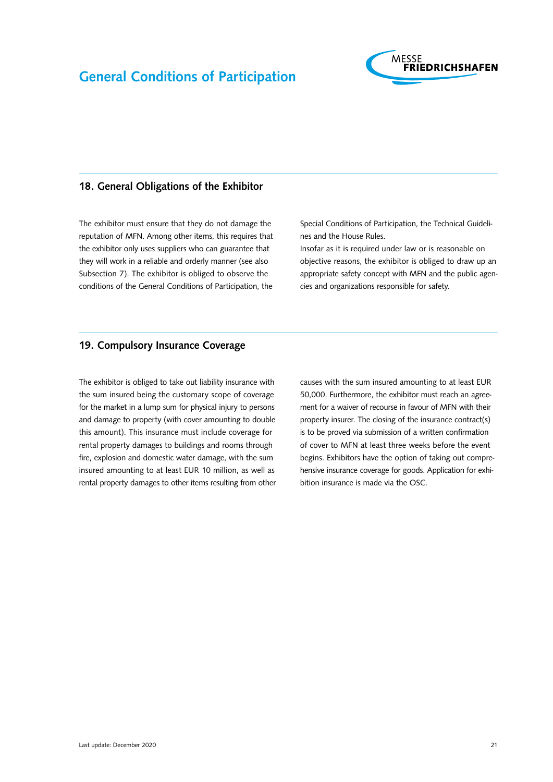

# <span id="page-20-0"></span>18. General Obligations of the Exhibitor

The exhibitor must ensure that they do not damage the reputation of MFN. Among other items, this requires that the exhibitor only uses suppliers who can guarantee that they will work in a reliable and orderly manner (see also Subsection 7). The exhibitor is obliged to observe the conditions of the General Conditions of Participation, the

Special Conditions of Participation, the Technical Guidelines and the House Rules.

Insofar as it is required under law or is reasonable on objective reasons, the exhibitor is obliged to draw up an appropriate safety concept with MFN and the public agencies and organizations responsible for safety.

# 19. Compulsory Insurance Coverage

The exhibitor is obliged to take out liability insurance with the sum insured being the customary scope of coverage for the market in a lump sum for physical injury to persons and damage to property (with cover amounting to double this amount). This insurance must include coverage for rental property damages to buildings and rooms through fire, explosion and domestic water damage, with the sum insured amounting to at least EUR 10 million, as well as rental property damages to other items resulting from other causes with the sum insured amounting to at least EUR 50,000. Furthermore, the exhibitor must reach an agreement for a waiver of recourse in favour of MFN with their property insurer. The closing of the insurance contract(s) is to be proved via submission of a written confirmation of cover to MFN at least three weeks before the event begins. Exhibitors have the option of taking out comprehensive insurance coverage for goods. Application for exhibition insurance is made via the OSC.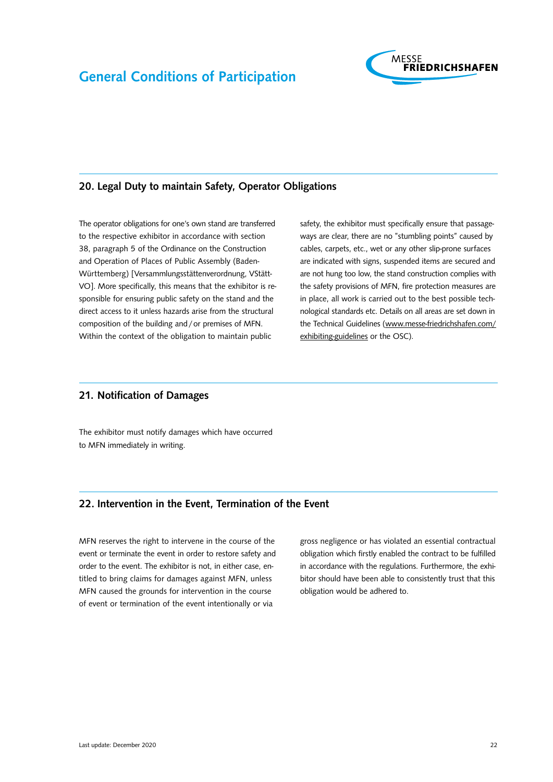

# <span id="page-21-0"></span>20. Legal Duty to maintain Safety, Operator Obligations

The operator obligations for one's own stand are transferred to the respective exhibitor in accordance with section 38, paragraph 5 of the Ordinance on the Construction and Operation of Places of Public Assembly (Baden-Württemberg) [Versammlungsstättenverordnung, VStätt-VO]. More specifically, this means that the exhibitor is responsible for ensuring public safety on the stand and the direct access to it unless hazards arise from the structural composition of the building and/or premises of MFN. Within the context of the obligation to maintain public

safety, the exhibitor must specifically ensure that passageways are clear, there are no "stumbling points" caused by cables, carpets, etc., wet or any other slip-prone surfaces are indicated with signs, suspended items are secured and are not hung too low, the stand construction complies with the safety provisions of MFN, fire protection measures are in place, all work is carried out to the best possible technological standards etc. Details on all areas are set down in the Technical Guidelines [\(www.messe-friedrichshafen.com/](http://www.messe-friedrichshafen.com/ exhibiting-guidelines) [exhibiting-guidelines](http://www.messe-friedrichshafen.com/ exhibiting-guidelines) or the OSC).

### 21. Notification of Damages

The exhibitor must notify damages which have occurred to MFN immediately in writing.

### 22. Intervention in the Event, Termination of the Event

MFN reserves the right to intervene in the course of the event or terminate the event in order to restore safety and order to the event. The exhibitor is not, in either case, entitled to bring claims for damages against MFN, unless MFN caused the grounds for intervention in the course of event or termination of the event intentionally or via

gross negligence or has violated an essential contractual obligation which firstly enabled the contract to be fulfilled in accordance with the regulations. Furthermore, the exhibitor should have been able to consistently trust that this obligation would be adhered to.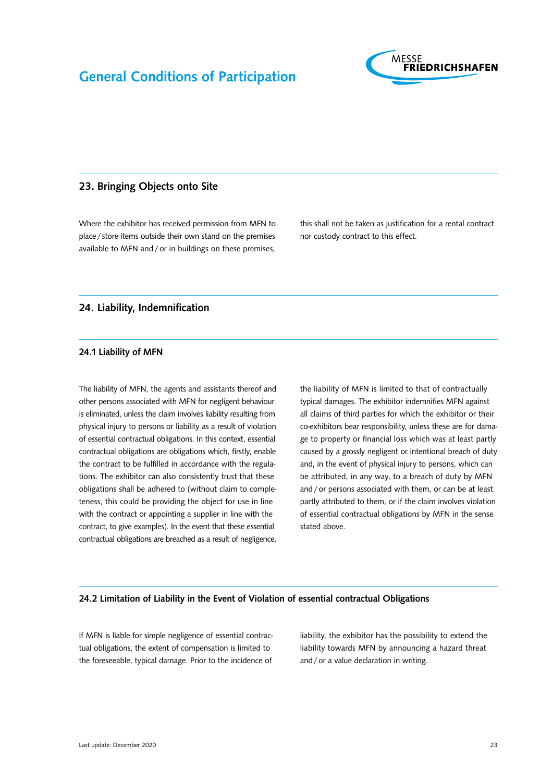

### <span id="page-22-0"></span>23. Bringing Objects onto Site

Where the exhibitor has received permission from MFN to place/ store items outside their own stand on the premises available to MFN and / or in buildings on these premises, this shall not be taken as justification for a rental contract nor custody contract to this effect.

### 24. Liability, Indemnification

#### 24.1 Liability of MFN

The liability of MFN, the agents and assistants thereof and other persons associated with MFN for negligent behaviour is eliminated, unless the claim involves liability resulting from physical injury to persons or liability as a result of violation of essential contractual obligations. In this context, essential contractual obligations are obligations which, firstly, enable the contract to be fulfilled in accordance with the regulations. The exhibitor can also consistently trust that these obligations shall be adhered to (without claim to completeness, this could be providing the object for use in line with the contract or appointing a supplier in line with the contract, to give examples). In the event that these essential contractual obligations are breached as a result of negligence, the liability of MFN is limited to that of contractually typical damages. The exhibitor indemnifies MFN against all claims of third parties for which the exhibitor or their co-exhibitors bear responsibility, unless these are for damage to property or financial loss which was at least partly caused by a grossly negligent or intentional breach of duty and, in the event of physical injury to persons, which can be attributed, in any way, to a breach of duty by MFN and / or persons associated with them, or can be at least partly attributed to them, or if the claim involves violation of essential contractual obligations by MFN in the sense stated above.

#### 24.2 Limitation of Liability in the Event of Violation of essential contractual Obligations

If MFN is liable for simple negligence of essential contractual obligations, the extent of compensation is limited to the foreseeable, typical damage. Prior to the incidence of

liability, the exhibitor has the possibility to extend the liability towards MFN by announcing a hazard threat and/or a value declaration in writing.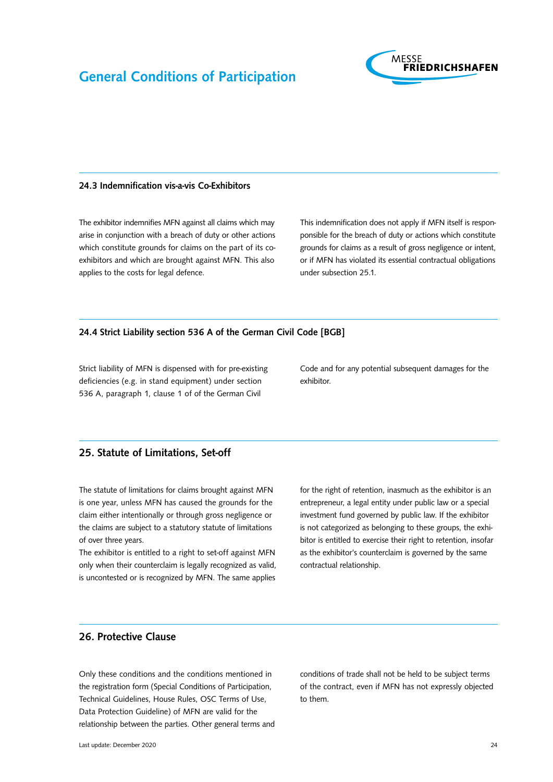

#### <span id="page-23-0"></span>24.3 Indemnification vis-a-vis Co-Exhibitors

The exhibitor indemnifies MFN against all claims which may arise in conjunction with a breach of duty or other actions which constitute grounds for claims on the part of its coexhibitors and which are brought against MFN. This also applies to the costs for legal defence.

This indemnification does not apply if MFN itself is responponsible for the breach of duty or actions which constitute grounds for claims as a result of gross negligence or intent, or if MFN has violated its essential contractual obligations under subsection 25.1.

#### 24.4 Strict Liability section 536 A of the German Civil Code [BGB]

Strict liability of MFN is dispensed with for pre-existing deficiencies (e.g. in stand equipment) under section 536 A, paragraph 1, clause 1 of of the German Civil

Code and for any potential subsequent damages for the exhibitor.

# 25. Statute of Limitations, Set-off

The statute of limitations for claims brought against MFN is one year, unless MFN has caused the grounds for the claim either intentionally or through gross negligence or the claims are subject to a statutory statute of limitations of over three years.

The exhibitor is entitled to a right to set-off against MFN only when their counterclaim is legally recognized as valid, is uncontested or is recognized by MFN. The same applies for the right of retention, inasmuch as the exhibitor is an entrepreneur, a legal entity under public law or a special investment fund governed by public law. If the exhibitor is not categorized as belonging to these groups, the exhibitor is entitled to exercise their right to retention, insofar as the exhibitor's counterclaim is governed by the same contractual relationship.

# 26. Protective Clause

Only these conditions and the conditions mentioned in the registration form (Special Conditions of Participation, Technical Guidelines, House Rules, OSC Terms of Use, Data Protection Guideline) of MFN are valid for the relationship between the parties. Other general terms and conditions of trade shall not be held to be subject terms of the contract, even if MFN has not expressly objected to them.